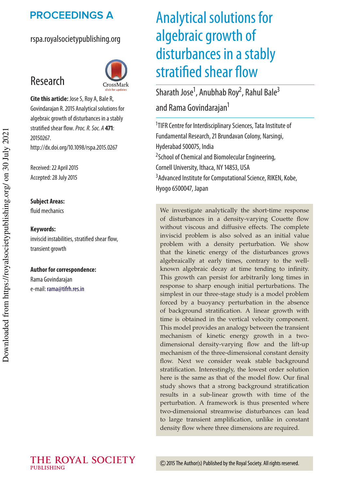## **PROCEEDINGS A**

## rspa.royalsocietypublishing.org



**Cite this article:** Jose S, Roy A, Bale R, Govindarajan R. 2015 Analytical solutions for algebraic growth of disturbances in a stably stratified shear flow.Proc. R. Soc. A **471**: 20150267. http://dx.doi.org/10.1098/rspa.2015.0267

Received: 22 April 2015 Accepted: 28 July 2015

#### **Subject Areas:**

Research

fluid mechanics

#### **Keywords:**

inviscid instabilities, stratified shear flow, transient growth

#### **Author for correspondence:**

Rama Govindarajan e-mail: rama@tifrh.res.in

# Analytical solutions for algebraic growth of disturbances in a stably stratified shear flow

Sharath Jose<sup>1</sup>, Anubhab Roy<sup>2</sup>, Rahul Bale<sup>3</sup> and Rama Govindarajan<sup>1</sup>

<sup>1</sup>TIFR Centre for Interdisciplinary Sciences, Tata Institute of Fundamental Research, 21 Brundavan Colony, Narsingi, Hyderabad 500075, India <sup>2</sup> School of Chemical and Biomolecular Engineering, Cornell University, Ithaca, NY 14853, USA <sup>3</sup> Advanced Institute for Computational Science, RIKEN, Kobe, Hyogo 6500047, Japan

We investigate analytically the short-time response of disturbances in a density-varying Couette flow without viscous and diffusive effects. The complete inviscid problem is also solved as an initial value problem with a density perturbation. We show that the kinetic energy of the disturbances grows algebraically at early times, contrary to the wellknown algebraic decay at time tending to infinity. This growth can persist for arbitrarily long times in response to sharp enough initial perturbations. The simplest in our three-stage study is a model problem forced by a buoyancy perturbation in the absence of background stratification. A linear growth with time is obtained in the vertical velocity component. This model provides an analogy between the transient mechanism of kinetic energy growth in a twodimensional density-varying flow and the lift-up mechanism of the three-dimensional constant density flow. Next we consider weak stable background stratification. Interestingly, the lowest order solution here is the same as that of the model flow. Our final study shows that a strong background stratification results in a sub-linear growth with time of the perturbation. A framework is thus presented where two-dimensional streamwise disturbances can lead to large transient amplification, unlike in constant density flow where three dimensions are required.

THE ROYAL SOCIETY **PUBLISHING**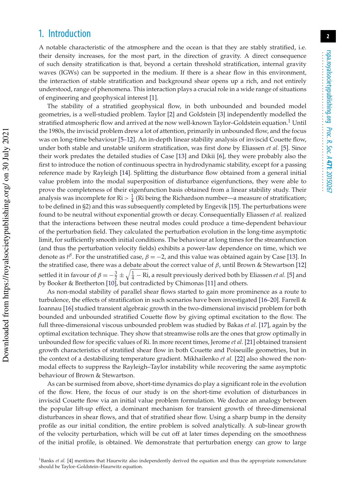## 1. Introduction

A notable characteristic of the atmosphere and the ocean is that they are stably stratified, i.e. their density increases, for the most part, in the direction of gravity. A direct consequence of such density stratification is that, beyond a certain threshold stratification, internal gravity waves (IGWs) can be supported in the medium. If there is a shear flow in this environment, the interaction of stable stratification and background shear opens up a rich, and not entirely understood, range of phenomena. This interaction plays a crucial role in a wide range of situations of engineering and geophysical interest [1].

The stability of a stratified geophysical flow, in both unbounded and bounded model geometries, is a well-studied problem. Taylor [2] and Goldstein [3] independently modelled the stratified atmospheric flow and arrived at the now well-known Taylor–Goldstein equation.<sup>1</sup> Until the 1980s, the inviscid problem drew a lot of attention, primarily in unbounded flow, and the focus was on long-time behaviour [5–12]. An in-depth linear stability analysis of inviscid Couette flow, under both stable and unstable uniform stratification, was first done by Eliassen *et al.* [5]. Since their work predates the detailed studies of Case [13] and Dikii [6], they were probably also the first to introduce the notion of continuous spectra in hydrodynamic stability, except for a passing reference made by Rayleigh [14]. Splitting the disturbance flow obtained from a general initial value problem into the modal superposition of disturbance eigenfunctions, they were able to prove the completeness of their eigenfunction basis obtained from a linear stability study. Their analysis was incomplete for  $\mathrm{R}i > \frac{1}{4}$  (Ri being the Richardson number—a measure of stratification; to be defined in §2) and this was subsequently completed by Engevik [15]. The perturbations were found to be neutral without exponential growth or decay. Consequentially Eliassen *et al.* realized that the interactions between these neutral modes could produce a time-dependent behaviour of the perturbation field. They calculated the perturbation evolution in the long-time asymptotic limit, for sufficiently smooth initial conditions. The behaviour at long times for the streamfunction (and thus the perturbation velocity fields) exhibits a power-law dependence on time, which we denote as  $t^{\beta}$ . For the unstratified case,  $\beta = -2$ , and this value was obtained again by Case [13]. In the stratified case, there was a debate about the correct value of  $\beta$ , until Brown & Stewartson [12] settled it in favour of  $\beta = -\frac{3}{2} \pm \sqrt{\frac{1}{4}}$  – Ri, a result previously derived both by Eliassen *et al.* [5] and by Booker & Bretherton [10], but contradicted by Chimonas [11] and others.

As non-modal stability of parallel shear flows started to gain more prominence as a route to turbulence, the effects of stratification in such scenarios have been investigated [16–20]. Farrell & Ioannau [16] studied transient algebraic growth in the two-dimensional inviscid problem for both bounded and unbounded stratified Couette flow by giving optimal excitation to the flow. The full three-dimensional viscous unbounded problem was studied by Bakas *et al.* [17], again by the optimal excitation technique. They show that streamwise rolls are the ones that grow optimally in unbounded flow for specific values of Ri. In more recent times, Jerome *et al.* [21] obtained transient growth characteristics of stratified shear flow in both Couette and Poiseuille geometries, but in the context of a destabilizing temperature gradient. Mikhailenko *et al.* [22] also showed the nonmodal effects to suppress the Rayleigh–Taylor instability while recovering the same asymptotic behaviour of Brown & Stewartson.

As can be surmised from above, short-time dynamics do play a significant role in the evolution of the flow. Here, the focus of our study is on the short-time evolution of disturbances in inviscid Couette flow via an initial value problem formulation. We deduce an analogy between the popular lift-up effect, a dominant mechanism for transient growth of three-dimensional disturbances in shear flows, and that of stratified shear flow. Using a sharp bump in the density profile as our initial condition, the entire problem is solved analytically. A sub-linear growth of the velocity perturbation, which will be cut off at later times depending on the smoothness of the initial profile, is obtained. We demonstrate that perturbation energy can grow to large

<sup>1</sup>Banks *et al.* [4] mentions that Haurwitz also independently derived the equation and thus the appropriate nomenclature should be Taylor–Goldstein–Haurwitz equation.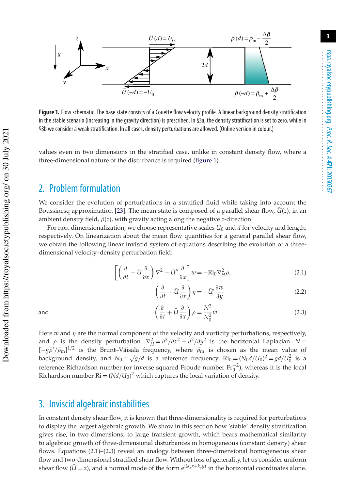

**Figure 1.** Flow schematic. The base state consists of a Couette flow velocity profile. A linear background density stratification in the stable scenario (increasing in the gravity direction) is prescribed. In §3a, the density stratification is set to zero, while in §3b we consider a weak stratification. In all cases, density perturbations are allowed. (Online version in colour.)

values even in two dimensions in the stratified case, unlike in constant density flow, where a three-dimensional nature of the disturbance is required (figure 1).

## 2. Problem formulation

We consider the evolution of perturbations in a stratified fluid while taking into account the Boussinesq approximation [23]. The mean state is composed of a parallel shear flow,  $\bar{U}(z)$ , in an ambient density field,  $\bar{\rho}(z)$ , with gravity acting along the negative *z*-direction.

For non-dimensionalization, we choose representative scales  $U_0$  and  $d$  for velocity and length, respectively. On linearization about the mean flow quantities for a general parallel shear flow, we obtain the following linear inviscid system of equations describing the evolution of a threedimensional velocity–density perturbation field:

$$
\left[ \left( \frac{\partial}{\partial t} + \bar{U} \frac{\partial}{\partial x} \right) \nabla^2 - \bar{U}'' \frac{\partial}{\partial x} \right] w = -\text{Ri}_0 \nabla_H^2 \rho,
$$
\n(2.1)

$$
\left(\frac{\partial}{\partial t} + \bar{U}\frac{\partial}{\partial x}\right)\eta = -\bar{U}'\frac{\partial w}{\partial y}
$$
\n(2.2)

and  $\left($ 

$$
\left(\frac{\partial}{\partial t} + \bar{U}\frac{\partial}{\partial x}\right)\rho = \frac{N^2}{N_0^2}w.\tag{2.3}
$$

Here  $w$  and  $\eta$  are the normal component of the velocity and vorticity perturbations, respectively, and  $\rho$  is the density perturbation.  $\nabla_H^2 = \frac{\partial^2}{\partial x^2} + \frac{\partial^2}{\partial y^2}$  is the horizontal Laplacian.  $N =$  $[-g\bar{\rho}'/\bar{\rho}_m]^{1/2}$  is the Brunt–Väisälä frequency, where  $\bar{\rho}_m$  is chosen as the mean value of background density, and  $N_0 \equiv \sqrt{g/d}$  is a reference frequency.  $\text{Ri}_0 = (N_0 d/U_0)^2 = gd/U_0^2$  is a reference Richardson number (or inverse squared Froude number  $Fr_0^{-2}$ ), whereas it is the local Richardson number Ri  $=(Nd/U_0)^2$  which captures the local variation of density.

### 3. Inviscid algebraic instabilities

In constant density shear flow, it is known that three-dimensionality is required for perturbations to display the largest algebraic growth. We show in this section how 'stable' density stratification gives rise, in two dimensions, to large transient growth, which bears mathematical similarity to algebraic growth of three-dimensional disturbances in homogeneous (constant density) shear flows. Equations (2.1)–(2.3) reveal an analogy between three-dimensional homogeneous shear flow and two-dimensional stratified shear flow. Without loss of generality, let us consider uniform shear flow  $(\bar{U} = z)$ , and a normal mode of the form  $e^{i(k_x x + k_y y)}$  in the horizontal coordinates alone.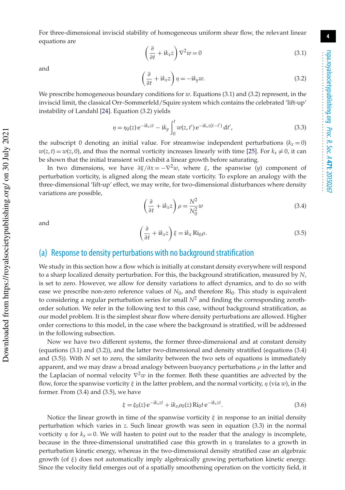For three-dimensional inviscid stability of homogeneous uniform shear flow, the relevant linear equations are

$$
\left(\frac{\partial}{\partial t} + i k_x z\right) \nabla^2 w = 0\tag{3.1}
$$

and

$$
\left(\frac{\partial}{\partial t} + i k_x z\right) \eta = -i k_y w.
$$
\n(3.2)

We prescribe homogeneous boundary conditions for *w*. Equations (3.1) and (3.2) represent, in the inviscid limit, the classical Orr–Sommerfeld/Squire system which contains the celebrated 'lift-up' instability of Landahl [24]. Equation (3.2) yields

$$
\eta = \eta_0(z) e^{-ik_x z t} - ik_y \int_0^t w(z, t') e^{-ik_x z (t - t')} dt',
$$
\n(3.3)

the subscript 0 denoting an initial value. For streamwise independent perturbations  $(k<sub>x</sub>=0)$  $w(z, t) = w(z, 0)$ , and thus the normal vorticity increases linearly with time [25]. For  $k_x \neq 0$ , it can be shown that the initial transient will exhibit a linear growth before saturating.

In two dimensions, we have  $\partial \xi/\partial x = -\nabla^2 w$ , where  $\xi$ , the spanwise (*y*) component of perturbation vorticity, is aligned along the mean state vorticity. To explore an analogy with the three-dimensional 'lift-up' effect, we may write, for two-dimensional disturbances where density variations are possible,

$$
\left(\frac{\partial}{\partial t} + i k_x z\right) \rho = \frac{N^2}{N_0^2} w \tag{3.4}
$$

and

 Downloaded from https://royalsocietypublishing.org/ on 30 July 2021 Downloaded from https://royalsocietypublishing.org/ on 30 July 2021

$$
\left(\frac{\partial}{\partial t} + i k_x z\right) \xi = i k_x \operatorname{Ri}_0 \rho. \tag{3.5}
$$

#### (a) Response to density perturbations with no background stratification

We study in this section how a flow which is initially at constant density everywhere will respond to a sharp localized density perturbation. For this, the background stratification, measured by *N*, is set to zero. However, we allow for density variations to affect dynamics, and to do so with ease we prescribe non-zero reference values of  $N_0$ , and therefore  $\text{Ri}_0$ . This study is equivalent to considering a regular perturbation series for small  $N^2$  and finding the corresponding zerothorder solution. We refer in the following text to this case, without background stratification, as our model problem. It is the simplest shear flow where density perturbations are allowed. Higher order corrections to this model, in the case where the background is stratified, will be addressed in the following subsection.

Now we have two different systems, the former three-dimensional and at constant density (equations (3.1) and (3.2)), and the latter two-dimensional and density stratified (equations (3.4) and (3.5)). With *N* set to zero, the similarity between the two sets of equations is immediately apparent, and we may draw a broad analogy between buoyancy perturbations  $\rho$  in the latter and the Laplacian of normal velocity ∇ <sup>2</sup>*w* in the former. Both these quantities are advected by the flow, force the spanwise vorticity  $\xi$  in the latter problem, and the normal vorticity,  $\eta$  (via  $w$ ), in the former. From (3.4) and (3.5), we have

$$
\xi = \xi_0(z) e^{-ik_x z t} + ik_x \rho_0(z) Ri_0 t e^{-ik_x z t}.
$$
\n(3.6)

Notice the linear growth in time of the spanwise vorticity  $\xi$  in response to an initial density perturbation which varies in *z*. Such linear growth was seen in equation (3.3) in the normal vorticity  $\eta$  for  $k_x = 0$ . We will hasten to point out to the reader that the analogy is incomplete, because in the three-dimensional unstratified case this growth in  $\eta$  translates to a growth in perturbation kinetic energy, whereas in the two-dimensional density stratified case an algebraic growth (of  $\xi$ ) does not automatically imply algebraically growing perturbation kinetic energy. Since the velocity field emerges out of a spatially smoothening operation on the vorticity field, it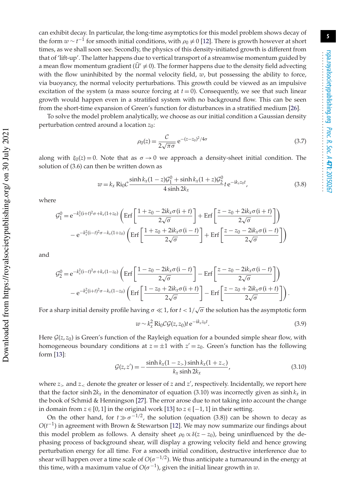can exhibit decay. In particular, the long-time asymptotics for this model problem shows decay of the form  $w \sim t^{-1}$  for smooth initial conditions, with  $\rho_0 \neq 0$  [12]. There is growth however at short times, as we shall soon see. Secondly, the physics of this density-initiated growth is different from that of 'lift-up'. The latter happens due to vertical transport of a streamwise momentum guided by a mean flow momentum gradient ( $\bar{U}' \neq 0$ ). The former happens due to the density field advecting with the flow uninhibited by the normal velocity field,  $w$ , but possessing the ability to force, via buoyancy, the normal velocity perturbations. This growth could be viewed as an impulsive excitation of the system (a mass source forcing at  $t = 0$ ). Consequently, we see that such linear growth would happen even in a stratified system with no background flow. This can be seen from the short-time expansion of Green's function for disturbances in a stratified medium [26].

To solve the model problem analytically, we choose as our initial condition a Gaussian density perturbation centred around a location *z*0:

$$
\rho_0(z) = \frac{C}{2\sqrt{\pi\sigma}} e^{-(z-z_0)^2/4\sigma}
$$
\n(3.7)

along with  $\xi_0(z) = 0$ . Note that as  $\sigma \to 0$  we approach a density-sheet initial condition. The solution of (3.6) can then be written down as

$$
w = k_x \text{Ri}_0 C \frac{\sinh k_x (1 - z) \mathcal{G}_1^0 + \sinh k_x (1 + z) \mathcal{G}_2^0}{4 \sinh 2k_x} t e^{-ik_x z_0 t},
$$
\n(3.8)

where

$$
\mathcal{G}_1^0 = e^{-k_x^2(i+t)^2\sigma + k_x(1+z_0)} \left( \text{Erf} \left[ \frac{1+z_0 - 2ik_x\sigma(i+t)}{2\sqrt{\sigma}} \right] + \text{Erf} \left[ \frac{z-z_0 + 2ik_x\sigma(i+t)}{2\sqrt{\sigma}} \right] \right)
$$

$$
- e^{-k_x^2(i-t)^2\sigma - k_x(1+z_0)} \left( \text{Erf} \left[ \frac{1+z_0 + 2ik_x\sigma(i-t)}{2\sqrt{\sigma}} \right] + \text{Erf} \left[ \frac{z-z_0 - 2ik_x\sigma(i-t)}{2\sqrt{\sigma}} \right] \right)
$$

and

$$
G_2^0 = e^{-k_x^2(i-t)^2 \sigma + k_x(1-z_0)} \left( \text{Erf} \left[ \frac{1-z_0 - 2ik_x \sigma(i-t)}{2\sqrt{\sigma}} \right] - \text{Erf} \left[ \frac{z-z_0 - 2ik_x \sigma(i-t)}{2\sqrt{\sigma}} \right] \right) - e^{-k_x^2(i+t)^2 \sigma - k_x(1-z_0)} \left( \text{Erf} \left[ \frac{1-z_0 + 2ik_x \sigma(i+t)}{2\sqrt{\sigma}} \right] - \text{Erf} \left[ \frac{z-z_0 + 2ik_x \sigma(i+t)}{2\sqrt{\sigma}} \right] \right).
$$

For a sharp initial density profile having  $\sigma \ll 1$ , for  $t < 1/\sqrt{\sigma}$  the solution has the asymptotic form

$$
w \sim k_x^2 \operatorname{Ri}_0 \mathcal{CG}(z, z_0) t \,\mathrm{e}^{-\mathrm{i} k_x z_0 t}.\tag{3.9}
$$

Here  $G(z, z_0)$  is Green's function of the Rayleigh equation for a bounded simple shear flow, with homogeneous boundary conditions at  $z = \pm 1$  with  $z' = z_0$ . Green's function has the following form [13]:

$$
\mathcal{G}(z, z') = -\frac{\sinh k_x (1 - z_{>}) \sinh k_x (1 + z_{<})}{k_x \sinh 2k_x},
$$
\n(3.10)

where  $z_{>}$  and  $z_{<}$  denote the greater or lesser of  $z$  and  $z'$ , respectively. Incidentally, we report here that the factor sinh  $2k_x$  in the denominator of equation (3.10) was incorrectly given as sinh  $k_x$  in the book of Schmid & Henningson [27]. The error arose due to not taking into account the change in domain from  $z \in [0, 1]$  in the original work [13] to  $z \in [-1, 1]$  in their setting.

On the other hand, for  $t \gg \sigma^{-1/2}$ , the solution (equation (3.8)) can be shown to decay as *O*(*t*<sup>-1</sup>) in agreement with Brown & Stewartson [12]. We may now summarize our findings about this model problem as follows. A density sheet  $\rho_0 \propto \delta(z - z_0)$ , being uninfluenced by the dephasing process of background shear, will display a growing velocity field and hence growing perturbation energy for all time. For a smooth initial condition, destructive interference due to shear will happen over a time scale of  $O(\sigma^{-1/2})$ . We thus anticipate a turnaround in the energy at this time, with a maximum value of  $O(\sigma^{-1})$ , given the initial linear growth in *w*.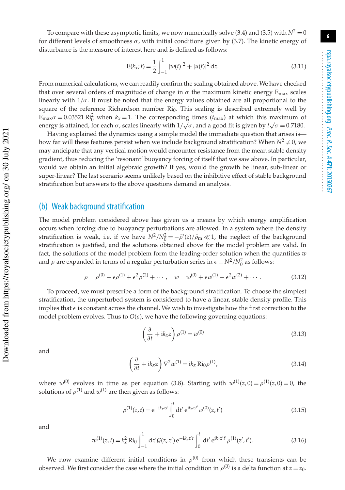To compare with these asymptotic limits, we now numerically solve (3.4) and (3.5) with  $N^2 = 0$ for different levels of smoothness  $\sigma$ , with initial conditions given by (3.7). The kinetic energy of disturbance is the measure of interest here and is defined as follows:

$$
E(k_x; t) = \frac{1}{2} \int_{-1}^{1} |w(t)|^2 + |u(t)|^2 dz.
$$
 (3.11)

From numerical calculations, we can readily confirm the scaling obtained above. We have checked that over several orders of magnitude of change in  $\sigma$  the maximum kinetic energy  $E_{\text{max}}$  scales linearly with  $1/\sigma$ . It must be noted that the energy values obtained are all proportional to the square of the reference Richardson number  $Ri<sub>0</sub>$ . This scaling is described extremely well by  $E_{\text{max}}\sigma = 0.03521 \text{ Ri}_0^2$  when  $k_x = 1$ . The corresponding times  $(t_{\text{max}})$  at which this maximum of energy is attained, for each  $\sigma$ , scales linearly with  $1/\sqrt{\sigma}$ , and a good fit is given by  $t\sqrt{\sigma} = 0.7180$ .

Having explained the dynamics using a simple model the immediate question that arises is how far will these features persist when we include background stratification? When  $N^2 \neq 0$ , we may anticipate that any vertical motion would encounter resistance from the mean stable density gradient, thus reducing the 'resonant' buoyancy forcing of itself that we saw above. In particular, would we obtain an initial algebraic growth? If yes, would the growth be linear, sub-linear or super-linear? The last scenario seems unlikely based on the inhibitive effect of stable background stratification but answers to the above questions demand an analysis.

#### (b) Weak background stratification

The model problem considered above has given us a means by which energy amplification occurs when forcing due to buoyancy perturbations are allowed. In a system where the density stratification is weak, i.e. if we have  $N^2/N_0^2 = -\bar{\rho}'(z)/\bar{\rho}_m \ll 1$ , the neglect of the background stratification is justified, and the solutions obtained above for the model problem are valid. In fact, the solutions of the model problem form the leading-order solution when the quantities *w* and  $\rho$  are expanded in terms of a regular perturbation series in  $\epsilon \equiv N^2/N_0^2$  as follows:

$$
\rho = \rho^{(0)} + \epsilon \rho^{(1)} + \epsilon^2 \rho^{(2)} + \cdots, \quad w = w^{(0)} + \epsilon w^{(1)} + \epsilon^2 w^{(2)} + \cdots.
$$
 (3.12)

To proceed, we must prescribe a form of the background stratification. To choose the simplest stratification, the unperturbed system is considered to have a linear, stable density profile. This implies that  $\epsilon$  is constant across the channel. We wish to investigate how the first correction to the model problem evolves. Thus to  $O(\epsilon)$ , we have the following governing equations:

$$
\left(\frac{\partial}{\partial t} + i k_x z\right) \rho^{(1)} = w^{(0)}\tag{3.13}
$$

and

$$
\left(\frac{\partial}{\partial t} + i k_x z\right) \nabla^2 w^{(1)} = i k_x \operatorname{Ri}_0 \rho^{(1)},\tag{3.14}
$$

where  $w^{(0)}$  evolves in time as per equation (3.8). Starting with  $w^{(1)}(z,0) = \rho^{(1)}(z,0) = 0$ , the solutions of  $\rho^{(1)}$  and  $w^{(1)}$  are then given as follows:

$$
\rho^{(1)}(z,t) = e^{-ik_x z t} \int_0^t dt' e^{ik_x z t'} w^{(0)}(z,t')
$$
\n(3.15)

and

$$
w^{(1)}(z,t) = k_x^2 \text{Ri}_0 \int_{-1}^1 dz' \mathcal{G}(z,z') e^{-ik_x z' t} \int_0^t dt' e^{ik_x z' t'} \rho^{(1)}(z',t'). \tag{3.16}
$$

We now examine different initial conditions in  $\rho^{(0)}$  from which these transients can be observed. We first consider the case where the initial condition in  $\rho^{(0)}$  is a delta function at  $z = z_0$ .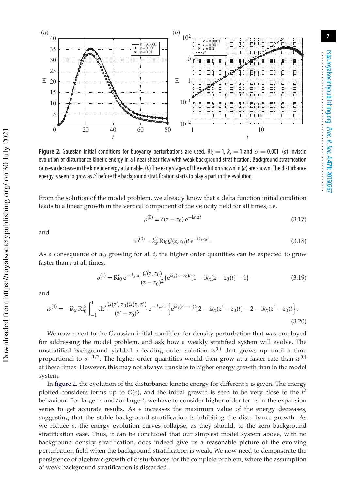

**Figure 2.** Gaussian initial conditions for buoyancy perturbations are used. Ri<sub>0</sub> = 1,  $k_x = 1$  and  $\sigma = 0.001$ . (a) Inviscid evolution of disturbance kinetic energy in a linear shear flow with weak background stratification. Background stratification causes a decrease in the kinetic energy attainable. (b) The early stages of the evolution shown in (a) are shown. The disturbance energy is seen to grow as  $t^2$  before the background stratification starts to play a part in the evolution.

From the solution of the model problem, we already know that a delta function initial condition leads to a linear growth in the vertical component of the velocity field for all times, i.e.

ρ

$$
o^{(0)} = \delta(z - z_0) e^{-ik_x z t}
$$
\n(3.17)

and

$$
w^{(0)} = k_x^2 \text{ Ri}_0 \mathcal{G}(z, z_0) t e^{-ik_x z_0 t}.
$$
\n(3.18)

As a consequence of  $w_0$  growing for all  $t$ , the higher order quantities can be expected to grow faster than *t* at all times,

$$
\rho^{(1)} = \text{Ri}_0 e^{-ik_x z t} \frac{\mathcal{G}(z, z_0)}{(z - z_0)^2} \{ e^{ik_x (z - z_0)t} [1 - ik_x (z - z_0)t] - 1 \}
$$
\n(3.19)

and

$$
w^{(1)} = -ik_x Ri_0^2 \int_{-1}^1 dz' \frac{\mathcal{G}(z', z_0)\mathcal{G}(z, z')}{(z'-z_0)^3} e^{-ik_x z' t} \left\{ e^{ik_x (z'-z_0)t} [2 - ik_x (z'-z_0)t] - 2 - ik_x (z'-z_0)t \right\}.
$$
\n(3.20)

We now revert to the Gaussian initial condition for density perturbation that was employed for addressing the model problem, and ask how a weakly stratified system will evolve. The unstratified background yielded a leading order solution  $w^{(0)}$  that grows up until a time proportional to  $\sigma^{-1/2}.$  The higher order quantities would then grow at a faster rate than  $w^{(0)}$ at these times. However, this may not always translate to higher energy growth than in the model system.

In figure 2, the evolution of the disturbance kinetic energy for different  $\epsilon$  is given. The energy plotted considers terms up to  $O(\epsilon)$ , and the initial growth is seen to be very close to the  $t^2$ behaviour. For larger  $\epsilon$  and/or large  $t$ , we have to consider higher order terms in the expansion series to get accurate results. As  $\epsilon$  increases the maximum value of the energy decreases, suggesting that the stable background stratification is inhibiting the disturbance growth. As we reduce  $\epsilon$ , the energy evolution curves collapse, as they should, to the zero background stratification case. Thus, it can be concluded that our simplest model system above, with no background density stratification, does indeed give us a reasonable picture of the evolving perturbation field when the background stratification is weak. We now need to demonstrate the persistence of algebraic growth of disturbances for the complete problem, where the assumption of weak background stratification is discarded.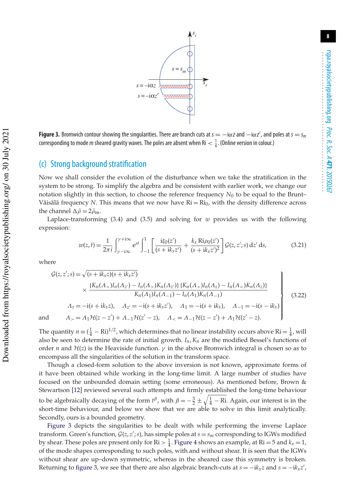

**Figure 3.** Bromwich contour showing the singularities. There are branch cuts at  $s = -i\alpha z$  and  $-i\alpha z'$ , and poles at  $s = s_m$ corresponding to mode *m* sheared gravity waves. The poles are absent when Ri  $<\frac{1}{4}$ . (Online version in colour.)

#### (c) Strong background stratification

Now we shall consider the evolution of the disturbance when we take the stratification in the system to be strong. To simplify the algebra and be consistent with earlier work, we change our notation slightly in this section, to choose the reference frequency  $N_0$  to be equal to the Brunt– Väisälä frequency *N*. This means that we now have  $Ri = Ri<sub>0</sub>$ , with the density difference across the channel  $\Delta \bar{\rho} = 2 \bar{\rho}_{\rm m}$ .

Laplace-transforming (3.4) and (3.5) and solving for *w* provides us with the following expression:

$$
w(z,t) = \frac{1}{2\pi i} \int_{\gamma - i\infty}^{\gamma + i\infty} e^{st} \int_{-1}^{1} \left[ \frac{i\xi_0(z')}{(s + ik_x z')} + \frac{k_x Ri\rho_0(z')}{(s + ik_x z')^2} \right] \mathcal{G}(z, z'; s) dz' ds,
$$
 (3.21)

where

Downloaded from https://royalsocietypublishing.org/ on 30 July 2021

Downloaded from https://royalsocietypublishing.org/ on 30 July 2021

$$
\mathcal{G}(z, z'; s) = \sqrt{(s + ik_x z)(s + ik_x z')}
$$
  
\n
$$
\times \frac{\{K_n(\Lambda_z)I_n(\Lambda_{z'}) - I_n(\Lambda_z)K_n(\Lambda_{z'})\} \{K_n(\Lambda_z)I_n(\Lambda_z) - I_n(\Lambda_z)K_n(\Lambda_z)\}}{K_n(\Lambda_1)I_n(\Lambda_{-1}) - I_n(\Lambda_1)K_n(\Lambda_{-1})}
$$
  
\n
$$
\Lambda_z = -i(s + ik_x z), \quad \Lambda_{z'} = -i(s + ik_x z'), \quad \Lambda_1 = -i(s + ik_x), \quad \Lambda_{-1} = -i(s - ik_x)
$$
  
\nand 
$$
\Lambda_z = \Lambda_1 \mathcal{H}(z - z') + \Lambda_{-1} \mathcal{H}(z' - z), \quad \Lambda_{<} = \Lambda_{-1} \mathcal{H}(z - z') + \Lambda_1 \mathcal{H}(z' - z).
$$
\n(3.22)

The quantity  $n = (\frac{1}{4} - Ri)^{1/2}$ , which determines that no linear instability occurs above Ri =  $\frac{1}{4}$ , will also be seen to determine the rate of initial growth. *In*, *Kn* are the modified Bessel's functions of order *n* and  $\mathcal{H}(z)$  is the Heaviside function.  $\gamma$  in the above Bromwich integral is chosen so as to encompass all the singularities of the solution in the transform space.

Though a closed-form solution to the above inversion is not known, approximate forms of it have been obtained while working in the long-time limit. A large number of studies have focused on the unbounded domain setting (some erroneous). As mentioned before, Brown & Stewartson [12] reviewed several such attempts and firmly established the long-time behaviour to be algebraically decaying of the form  $t^{\beta}$ , with  $\beta = -\frac{3}{2} \pm \sqrt{\frac{1}{4} - Ri}$ . Again, our interest is in the short-time behaviour, and below we show that we are able to solve in this limit analytically. Secondly, ours is a bounded geometry.

Figure 3 depicts the singularities to be dealt with while performing the inverse Laplace transform. Green's function,  $G(z, z'; s)$ , has simple poles at  $s = s_m$  corresponding to IGWs modified by shear. These poles are present only for  $\text{Ri} > \frac{1}{4}$ . Figure 4 shows an example, at  $\text{Ri} = 5$  and  $k_x = 1$ , of the mode shapes corresponding to such poles, with and without shear. It is seen that the IGWs without shear are up–down symmetric, whereas in the sheared case this symmetry is broken. Returning to figure 3, we see that there are also algebraic branch-cuts at  $s = -ik_x z$  and  $s = -ik_x z'$ ,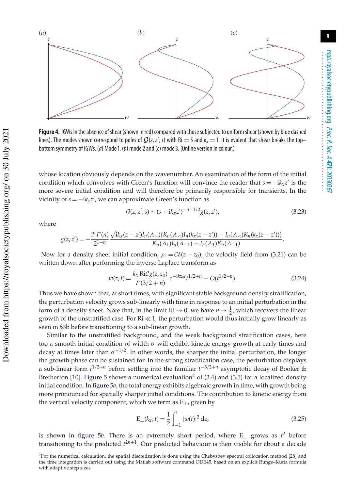

**Figure 4.** IGWs in the absence of shear (shown in red) compared with those subjected to uniform shear (shown by blue dashed lines). The modes shown correspond to poles of  $G(z, z'; s)$  with Ri = 5 and  $k_x = 1$ . It is evident that shear breaks the topbottom symmetry of IGWs. (a) Mode 1, (b) mode 2 and (c) mode 3. (Online version in colour.)

whose location obviously depends on the wavenumber. An examination of the form of the initial condition which convolves with Green's function will convince the reader that *s* = −i*kxz* ′ is the more severe initial condition and will therefore be primarily responsible for transients. In the vicinity of *s* = −i*kxz* ′ , we can approximate Green's function as

$$
\mathcal{G}(z, z'; s) \sim (s + i k_x z')^{-n+1/2} g(z, z'),\tag{3.23}
$$

where

 Downloaded from https://royalsocietypublishing.org/ on 30 July 2021 Downloaded from https://royalsocietypublishing.org/ on 30 July 2021

$$
g(z,z') = -\frac{i^n \Gamma(n)}{2^{1-n}} \frac{\sqrt{ik_x(z-z')} I_n(\Lambda_z) \{K_n(\Lambda_z) I_n(k_x(z-z')) - I_n(\Lambda_z) K_n(k_x(z-z'))\}}{K_n(\Lambda_1) I_n(\Lambda_{-1}) - I_n(\Lambda_1) K_n(\Lambda_{-1})}.
$$

Now for a density sheet initial condition,  $\rho_z = C\delta(z - z_0)$ , the velocity field from (3.21) can be written down after performing the inverse Laplace transform as

$$
w(z,t) = \frac{k_x \operatorname{Ric} g(z, z_0)}{\Gamma(3/2 + n)} e^{-ikz_0 t} t^{1/2 + n} + O(t^{1/2 - n}).
$$
\n(3.24)

Thus we have shown that, at short times, with significant stable background density stratification, the perturbation velocity grows sub-linearly with time in response to an initial perturbation in the form of a density sheet. Note that, in the limit  $\text{Ri} \to 0$ , we have  $n \to \frac{1}{2}$ , which recovers the linear growth of the unstratified case. For  $\text{Ri} \ll 1$ , the perturbation would thus initially grow linearly as seen in §3b before transitioning to a sub-linear growth.

Similar to the unstratified background, and the weak background stratification cases, here too a smooth initial condition of width  $\sigma$  will exhibit kinetic energy growth at early times and decay at times later than  $\sigma^{-1/2}$ . In other words, the sharper the initial perturbation, the longer the growth phase can be sustained for. In the strong stratification case, the perturbation displays a sub-linear form  $t^{1/2+n}$  before settling into the familiar  $t^{-3/2+n}$  asymptotic decay of Booker & Bretherton [10]. Figure 5 shows a numerical evaluation<sup>2</sup> of (3.4) and (3.5) for a localized density initial condition. In figure 5*a*, the total energy exhibits algebraic growth in time, with growth being more pronounced for spatially sharper initial conditions. The contribution to kinetic energy from the vertical velocity component, which we term as E⊥, given by

$$
E_{\perp}(k_x;t) = \frac{1}{2} \int_{-1}^{1} |w(t)|^2 dz,
$$
\n(3.25)

is shown in figure 5*b*. There is an extremely short period, where  $E_{\perp}$  grows as  $t^2$  before transitioning to the predicted  $t^{2n+1}$ . Our predicted behaviour is then visible for about a decade

<sup>2</sup>For the numerical calculation, the spatial discretization is done using the Chebyshev spectral collocation method [28] and the time integration is carried out using the Matlab software command ODE45, based on an explicit Runge–Kutta formula with adaptive step sizes.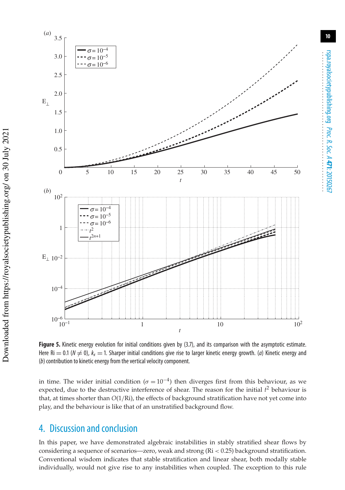

**Figure 5.** Kinetic energy evolution for initial conditions given by (3.7), and its comparison with the asymptotic estimate. Here Ri = 0.1 ( $N \neq 0$ ),  $k_x = 1$ . Sharper initial conditions give rise to larger kinetic energy growth. (a) Kinetic energy and (b) contribution to kinetic energy from the vertical velocity component.

in time. The wider initial condition ( $\sigma = 10^{-4}$ ) then diverges first from this behaviour, as we expected, due to the destructive interference of shear. The reason for the initial *t* <sup>2</sup> behaviour is that, at times shorter than *O*(1/Ri), the effects of background stratification have not yet come into play, and the behaviour is like that of an unstratified background flow.

## 4. Discussion and conclusion

In this paper, we have demonstrated algebraic instabilities in stably stratified shear flows by considering a sequence of scenarios—zero, weak and strong (Ri < 0.25) background stratification. Conventional wisdom indicates that stable stratification and linear shear, both modally stable individually, would not give rise to any instabilities when coupled. The exception to this rule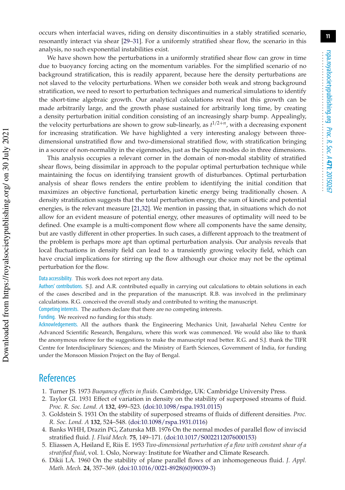occurs when interfacial waves, riding on density discontinuities in a stably stratified scenario, resonantly interact via shear [29–31]. For a uniformly stratified shear flow, the scenario in this analysis, no such exponential instabilities exist.

We have shown how the perturbations in a uniformly stratified shear flow can grow in time due to buoyancy forcing acting on the momentum variables. For the simplified scenario of no background stratification, this is readily apparent, because here the density perturbations are not slaved to the velocity perturbations. When we consider both weak and strong background stratification, we need to resort to perturbation techniques and numerical simulations to identify the short-time algebraic growth. Our analytical calculations reveal that this growth can be made arbitrarily large, and the growth phase sustained for arbitrarily long time, by creating a density perturbation initial condition consisting of an increasingly sharp bump. Appealingly, the velocity perturbations are shown to grow sub-linearly, as  $t^{1/2+n}$ , with a decreasing exponent for increasing stratification. We have highlighted a very interesting analogy between threedimensional unstratified flow and two-dimensional stratified flow, with stratification bringing in a source of non-normality in the eigenmodes, just as the Squire modes do in three dimensions.

This analysis occupies a relevant corner in the domain of non-modal stability of stratified shear flows, being dissimilar in approach to the popular optimal perturbation technique while maintaining the focus on identifying transient growth of disturbances. Optimal perturbation analysis of shear flows renders the entire problem to identifying the initial condition that maximizes an objective functional, perturbation kinetic energy being traditionally chosen. A density stratification suggests that the total perturbation energy, the sum of kinetic and potential energies, is the relevant measure [21,32]. We mention in passing that, in situations which do not allow for an evident measure of potential energy, other measures of optimality will need to be defined. One example is a multi-component flow where all components have the same density, but are vastly different in other properties. In such cases, a different approach to the treatment of the problem is perhaps more apt than optimal perturbation analysis. Our analysis reveals that local fluctuations in density field can lead to a transiently growing velocity field, which can have crucial implications for stirring up the flow although our choice may not be the optimal perturbation for the flow.

Data accessibility. This work does not report any data.

Authors' contributions. S.J. and A.R. contributed equally in carrying out calculations to obtain solutions in each of the cases described and in the preparation of the manuscript. R.B. was involved in the preliminary calculations. R.G. conceived the overall study and contributed to writing the manuscript.

Competing interests. The authors declare that there are no competing interests.

Funding. We received no funding for this study.

Acknowledgements. All the authors thank the Engineering Mechanics Unit, Jawaharlal Nehru Centre for Advanced Scientific Research, Bengaluru, where this work was commenced. We would also like to thank the anonymous referee for the suggestions to make the manuscript read better. R.G. and S.J. thank the TIFR Centre for Interdisciplinary Sciences; and the Ministry of Earth Sciences, Government of India, for funding under the Monsoon Mission Project on the Bay of Bengal.

## **References**

- 1. Turner JS. 1973 *Buoyancy effects in fluids*. Cambridge, UK: Cambridge University Press.
- 2. Taylor GI. 1931 Effect of variation in density on the stability of superposed streams of fluid. *Proc. R. Soc. Lond. A* **132**, 499–523. (doi:10.1098/rspa.1931.0115)
- 3. Goldstein S. 1931 On the stability of superposed streams of fluids of different densities. *Proc. R. Soc. Lond. A* **132**, 524–548. (doi:10.1098/rspa.1931.0116)
- 4. Banks WHH, Drazin PG, Zaturska MB. 1976 On the normal modes of parallel flow of inviscid stratified fluid. *J. Fluid Mech.* **75**, 149–171. (doi:10.1017/S0022112076000153)
- 5. Eliassen A, Høiland E, Riis E. 1953 *Two-dimensional perturbation of a flow with constant shear of a stratified fluid*, vol. 1. Oslo, Norway: Institute for Weather and Climate Research.
- 6. Dikii LA. 1960 On the stability of plane parallel flows of an inhomogeneous fluid. *J. Appl. Math. Mech.* **24**, 357–369. (doi:10.1016/0021-8928(60)90039-3)